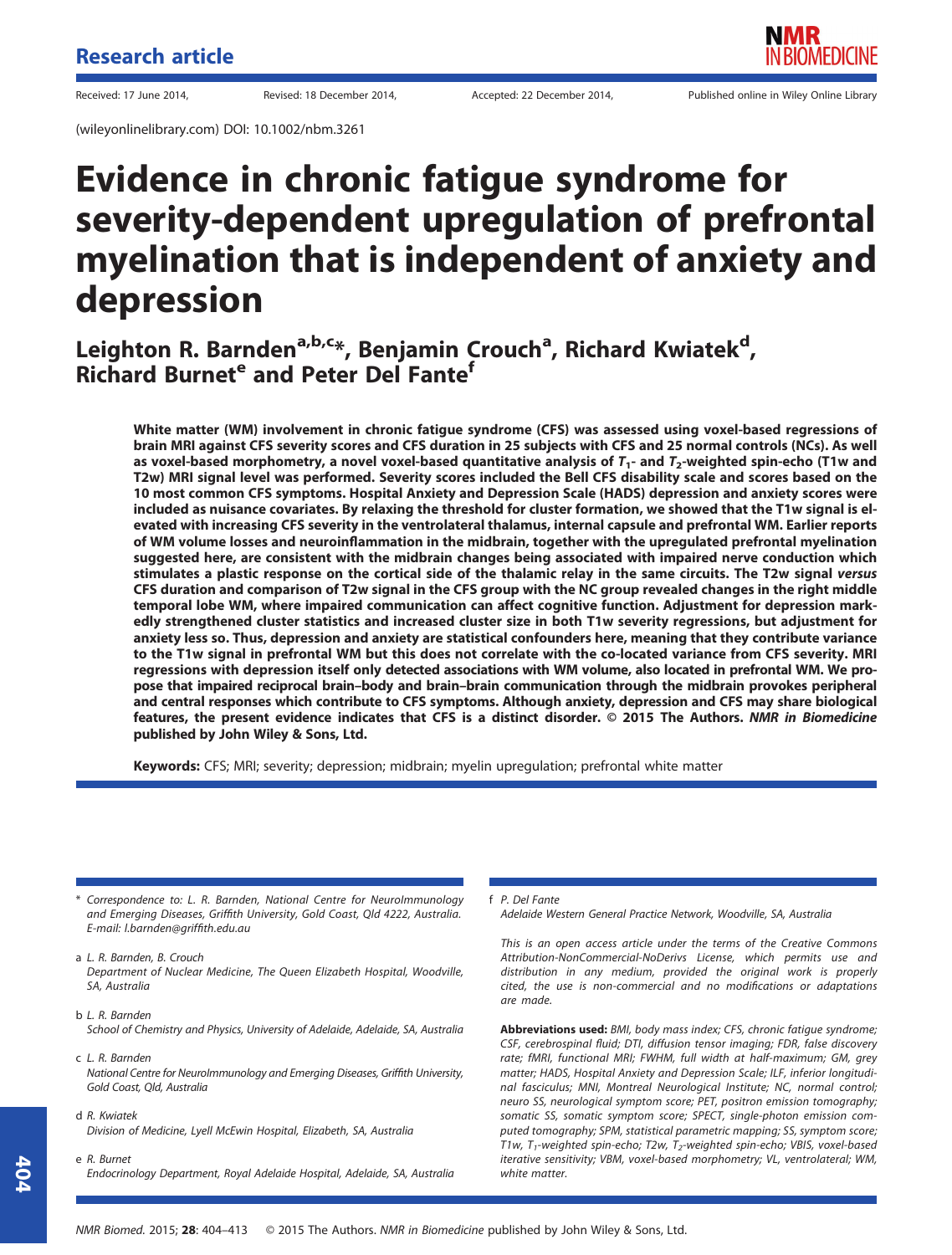(wileyonlinelibrary.com) DOI: 10.1002/nbm.3261

Received: 17 June 2014, Revised: 18 December 2014, Accepted: 22 December 2014, Published online in Wiley Online Library

# Evidence in chronic fatigue syndrome for severity-dependent upregulation of prefrontal myelination that is independent of anxiety and depression

Leighton R. Barnden<sup>a,b,c</sup>\*, Benjamin Crouch<sup>a</sup>, Richard Kwiatek<sup>d</sup>, Richard Burnet<sup>e</sup> and Peter Del Fante<sup>f</sup>

White matter (WM) involvement in chronic fatigue syndrome (CFS) was assessed using voxel-based regressions of brain MRI against CFS severity scores and CFS duration in 25 subjects with CFS and 25 normal controls (NCs). As well as voxel-based morphometry, a novel voxel-based quantitative analysis of  $T_1$ - and  $T_2$ -weighted spin-echo (T1w and T2w) MRI signal level was performed. Severity scores included the Bell CFS disability scale and scores based on the 10 most common CFS symptoms. Hospital Anxiety and Depression Scale (HADS) depression and anxiety scores were included as nuisance covariates. By relaxing the threshold for cluster formation, we showed that the T1w signal is elevated with increasing CFS severity in the ventrolateral thalamus, internal capsule and prefrontal WM. Earlier reports of WM volume losses and neuroinflammation in the midbrain, together with the upregulated prefrontal myelination suggested here, are consistent with the midbrain changes being associated with impaired nerve conduction which stimulates a plastic response on the cortical side of the thalamic relay in the same circuits. The T2w signal versus CFS duration and comparison of T2w signal in the CFS group with the NC group revealed changes in the right middle temporal lobe WM, where impaired communication can affect cognitive function. Adjustment for depression markedly strengthened cluster statistics and increased cluster size in both T1w severity regressions, but adjustment for anxiety less so. Thus, depression and anxiety are statistical confounders here, meaning that they contribute variance to the T1w signal in prefrontal WM but this does not correlate with the co-located variance from CFS severity. MRI regressions with depression itself only detected associations with WM volume, also located in prefrontal WM. We propose that impaired reciprocal brain–body and brain–brain communication through the midbrain provokes peripheral and central responses which contribute to CFS symptoms. Although anxiety, depression and CFS may share biological features, the present evidence indicates that CFS is a distinct disorder. © 2015 The Authors. NMR in Biomedicine published by John Wiley & Sons, Ltd.

Keywords: CFS; MRI; severity; depression; midbrain; myelin upregulation; prefrontal white matter

Correspondence to: L. R. Barnden, National Centre for NeuroImmunology and Emerging Diseases, Griffith University, Gold Coast, Qld 4222, Australia. E-mail: l.barnden@griffith.edu.au

- a L. R. Barnden, B. Crouch Department of Nuclear Medicine, The Queen Elizabeth Hospital, Woodville, SA, Australia
- b L. R. Barnden School of Chemistry and Physics, University of Adelaide, Adelaide, SA, Australia
- c L. R. Barnden National Centre for NeuroImmunology and Emerging Diseases, Griffith University, Gold Coast, Qld, Australia
- d R. Kwiatek

Division of Medicine, Lyell McEwin Hospital, Elizabeth, SA, Australia

e R. Burnet

Endocrinology Department, Royal Adelaide Hospital, Adelaide, SA, Australia

f P. Del Fante

Adelaide Western General Practice Network, Woodville, SA, Australia

This is an open access article under the terms of the [Creative Commons](http://creativecommons.org/licenses/by-nc-nd/4.0/) [Attribution-NonCommercial-NoDerivs](http://creativecommons.org/licenses/by-nc-nd/4.0/) License, which permits use and distribution in any medium, provided the original work is properly cited, the use is non-commercial and no modifications or adaptations are made.

Abbreviations used: BMI, body mass index; CFS, chronic fatique syndrome; CSF, cerebrospinal fluid; DTI, diffusion tensor imaging; FDR, false discovery rate; fMRI, functional MRI; FWHM, full width at half-maximum; GM, grey matter; HADS, Hospital Anxiety and Depression Scale; ILF, inferior longitudinal fasciculus; MNI, Montreal Neurological Institute; NC, normal control; neuro SS, neurological symptom score; PET, positron emission tomography; somatic SS, somatic symptom score; SPECT, single-photon emission computed tomography; SPM, statistical parametric mapping; SS, symptom score; T1w, T<sub>1</sub>-weighted spin-echo; T2w, T<sub>2</sub>-weighted spin-echo; VBIS, voxel-based iterative sensitivity; VBM, voxel-based morphometry; VL, ventrolateral; WM, white matter.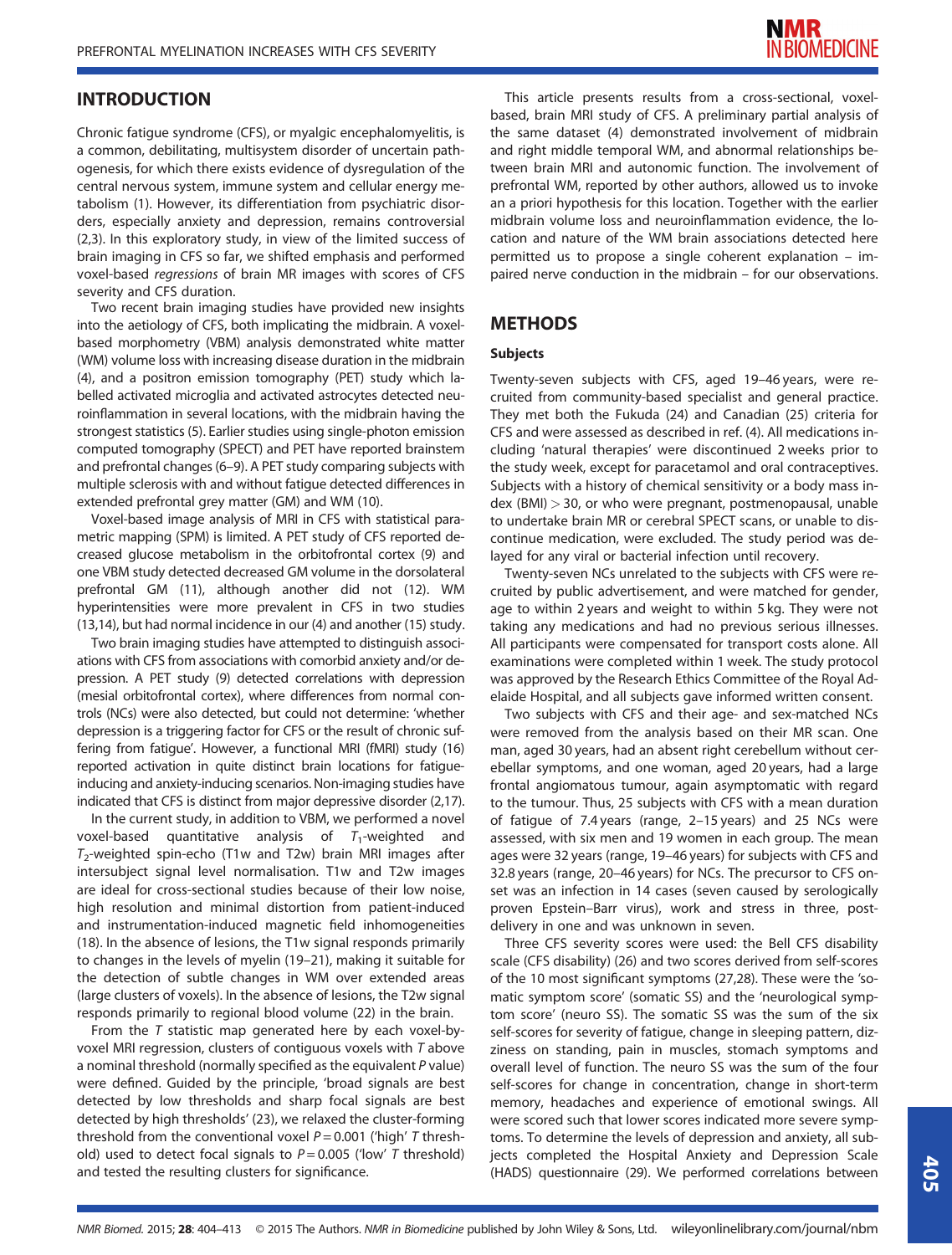# INTRODUCTION

Chronic fatigue syndrome (CFS), or myalgic encephalomyelitis, is a common, debilitating, multisystem disorder of uncertain pathogenesis, for which there exists evidence of dysregulation of the central nervous system, immune system and cellular energy metabolism (1). However, its differentiation from psychiatric disorders, especially anxiety and depression, remains controversial (2,3). In this exploratory study, in view of the limited success of brain imaging in CFS so far, we shifted emphasis and performed voxel-based regressions of brain MR images with scores of CFS severity and CFS duration.

Two recent brain imaging studies have provided new insights into the aetiology of CFS, both implicating the midbrain. A voxelbased morphometry (VBM) analysis demonstrated white matter (WM) volume loss with increasing disease duration in the midbrain (4), and a positron emission tomography (PET) study which labelled activated microglia and activated astrocytes detected neuroinflammation in several locations, with the midbrain having the strongest statistics (5). Earlier studies using single-photon emission computed tomography (SPECT) and PET have reported brainstem and prefrontal changes (6–9). A PET study comparing subjects with multiple sclerosis with and without fatigue detected differences in extended prefrontal grey matter (GM) and WM (10).

Voxel-based image analysis of MRI in CFS with statistical parametric mapping (SPM) is limited. A PET study of CFS reported decreased glucose metabolism in the orbitofrontal cortex (9) and one VBM study detected decreased GM volume in the dorsolateral prefrontal GM (11), although another did not (12). WM hyperintensities were more prevalent in CFS in two studies (13,14), but had normal incidence in our (4) and another (15) study.

Two brain imaging studies have attempted to distinguish associations with CFS from associations with comorbid anxiety and/or depression. A PET study (9) detected correlations with depression (mesial orbitofrontal cortex), where differences from normal controls (NCs) were also detected, but could not determine: 'whether depression is a triggering factor for CFS or the result of chronic suffering from fatigue'. However, a functional MRI (fMRI) study (16) reported activation in quite distinct brain locations for fatigueinducing and anxiety-inducing scenarios. Non-imaging studies have indicated that CFS is distinct from major depressive disorder (2,17).

In the current study, in addition to VBM, we performed a novel voxel-based quantitative analysis of  $T_1$ -weighted and  $T_2$ -weighted spin-echo (T1w and T2w) brain MRI images after intersubject signal level normalisation. T1w and T2w images are ideal for cross-sectional studies because of their low noise, high resolution and minimal distortion from patient-induced and instrumentation-induced magnetic field inhomogeneities (18). In the absence of lesions, the T1w signal responds primarily to changes in the levels of myelin (19–21), making it suitable for the detection of subtle changes in WM over extended areas (large clusters of voxels). In the absence of lesions, the T2w signal responds primarily to regional blood volume (22) in the brain.

From the  $T$  statistic map generated here by each voxel-byvoxel MRI regression, clusters of contiguous voxels with T above a nominal threshold (normally specified as the equivalent P value) were defined. Guided by the principle, 'broad signals are best detected by low thresholds and sharp focal signals are best detected by high thresholds' (23), we relaxed the cluster-forming threshold from the conventional voxel  $P = 0.001$  ('high' T threshold) used to detect focal signals to  $P = 0.005$  ('low' T threshold) and tested the resulting clusters for significance.

This article presents results from a cross-sectional, voxelbased, brain MRI study of CFS. A preliminary partial analysis of the same dataset (4) demonstrated involvement of midbrain and right middle temporal WM, and abnormal relationships between brain MRI and autonomic function. The involvement of prefrontal WM, reported by other authors, allowed us to invoke an a priori hypothesis for this location. Together with the earlier midbrain volume loss and neuroinflammation evidence, the location and nature of the WM brain associations detected here permitted us to propose a single coherent explanation – impaired nerve conduction in the midbrain – for our observations.

# METHODS

### Subjects

Twenty-seven subjects with CFS, aged 19–46 years, were recruited from community-based specialist and general practice. They met both the Fukuda (24) and Canadian (25) criteria for CFS and were assessed as described in ref. (4). All medications including 'natural therapies' were discontinued 2 weeks prior to the study week, except for paracetamol and oral contraceptives. Subjects with a history of chemical sensitivity or a body mass index (BMI) > 30, or who were pregnant, postmenopausal, unable to undertake brain MR or cerebral SPECT scans, or unable to discontinue medication, were excluded. The study period was delayed for any viral or bacterial infection until recovery.

Twenty-seven NCs unrelated to the subjects with CFS were recruited by public advertisement, and were matched for gender, age to within 2 years and weight to within 5 kg. They were not taking any medications and had no previous serious illnesses. All participants were compensated for transport costs alone. All examinations were completed within 1 week. The study protocol was approved by the Research Ethics Committee of the Royal Adelaide Hospital, and all subjects gave informed written consent.

Two subjects with CFS and their age- and sex-matched NCs were removed from the analysis based on their MR scan. One man, aged 30 years, had an absent right cerebellum without cerebellar symptoms, and one woman, aged 20 years, had a large frontal angiomatous tumour, again asymptomatic with regard to the tumour. Thus, 25 subjects with CFS with a mean duration of fatigue of 7.4 years (range, 2–15 years) and 25 NCs were assessed, with six men and 19 women in each group. The mean ages were 32 years (range, 19–46 years) for subjects with CFS and 32.8 years (range, 20–46 years) for NCs. The precursor to CFS onset was an infection in 14 cases (seven caused by serologically proven Epstein–Barr virus), work and stress in three, postdelivery in one and was unknown in seven.

Three CFS severity scores were used: the Bell CFS disability scale (CFS disability) (26) and two scores derived from self-scores of the 10 most significant symptoms (27,28). These were the 'somatic symptom score' (somatic SS) and the 'neurological symptom score' (neuro SS). The somatic SS was the sum of the six self-scores for severity of fatigue, change in sleeping pattern, dizziness on standing, pain in muscles, stomach symptoms and overall level of function. The neuro SS was the sum of the four self-scores for change in concentration, change in short-term memory, headaches and experience of emotional swings. All were scored such that lower scores indicated more severe symptoms. To determine the levels of depression and anxiety, all subjects completed the Hospital Anxiety and Depression Scale (HADS) questionnaire (29). We performed correlations between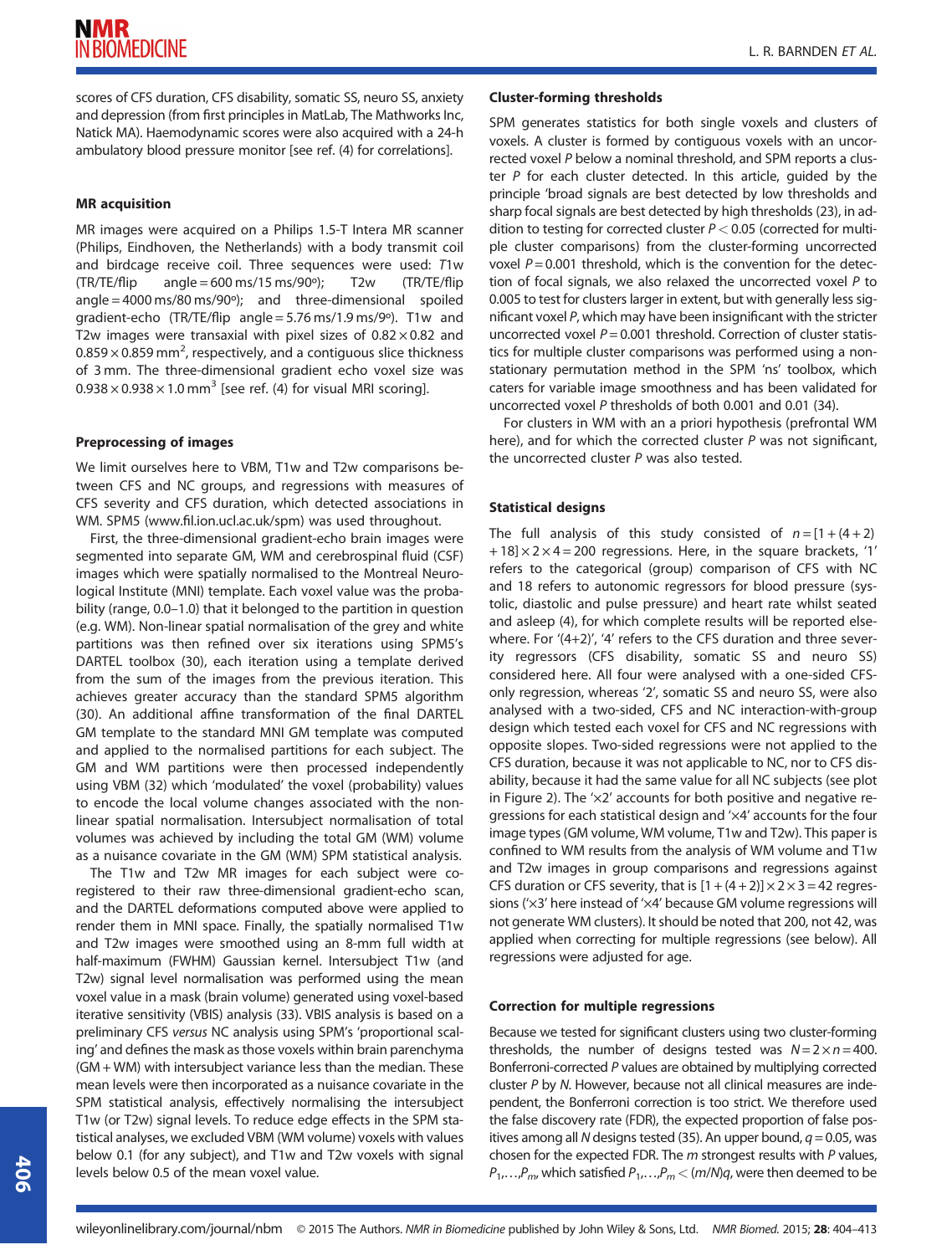scores of CFS duration, CFS disability, somatic SS, neuro SS, anxiety and depression (from first principles in MatLab, The Mathworks Inc, Natick MA). Haemodynamic scores were also acquired with a 24-h ambulatory blood pressure monitor [see ref. (4) for correlations].

#### MR acquisition

MR images were acquired on a Philips 1.5-T Intera MR scanner (Philips, Eindhoven, the Netherlands) with a body transmit coil and birdcage receive coil. Three sequences were used: T1w  $(TR/TE/flip \qquad \text{angle} = 600 \text{ ms}/15 \text{ ms}/90^\circ); \qquad T2w \qquad (TR/TE/flip)$ angle =  $4000 \text{ ms}/80 \text{ ms}/90^{\circ}$ ; and three-dimensional spoiled gradient-echo (TR/TE/flip angle = 5.76 ms/1.9 ms/9º). T1w and T2w images were transaxial with pixel sizes of  $0.82 \times 0.82$  and  $0.859 \times 0.859$  mm<sup>2</sup>, respectively, and a contiguous slice thickness of 3 mm. The three-dimensional gradient echo voxel size was  $0.938 \times 0.938 \times 1.0$  mm<sup>3</sup> [see ref. (4) for visual MRI scoring].

#### Preprocessing of images

We limit ourselves here to VBM, T1w and T2w comparisons between CFS and NC groups, and regressions with measures of CFS severity and CFS duration, which detected associations in WM. SPM5 (www.fi[l.ion.ucl.ac.uk/spm](http://www.fil.ion.ucl.ac.uk/spm)) was used throughout.

First, the three-dimensional gradient-echo brain images were segmented into separate GM, WM and cerebrospinal fluid (CSF) images which were spatially normalised to the Montreal Neurological Institute (MNI) template. Each voxel value was the probability (range, 0.0–1.0) that it belonged to the partition in question (e.g. WM). Non-linear spatial normalisation of the grey and white partitions was then refined over six iterations using SPM5's DARTEL toolbox (30), each iteration using a template derived from the sum of the images from the previous iteration. This achieves greater accuracy than the standard SPM5 algorithm (30). An additional affine transformation of the final DARTEL GM template to the standard MNI GM template was computed and applied to the normalised partitions for each subject. The GM and WM partitions were then processed independently using VBM (32) which 'modulated' the voxel (probability) values to encode the local volume changes associated with the nonlinear spatial normalisation. Intersubject normalisation of total volumes was achieved by including the total GM (WM) volume as a nuisance covariate in the GM (WM) SPM statistical analysis.

The T1w and T2w MR images for each subject were coregistered to their raw three-dimensional gradient-echo scan, and the DARTEL deformations computed above were applied to render them in MNI space. Finally, the spatially normalised T1w and T2w images were smoothed using an 8-mm full width at half-maximum (FWHM) Gaussian kernel. Intersubject T1w (and T2w) signal level normalisation was performed using the mean voxel value in a mask (brain volume) generated using voxel-based iterative sensitivity (VBIS) analysis (33). VBIS analysis is based on a preliminary CFS versus NC analysis using SPM's 'proportional scaling' and defines the mask as those voxels within brain parenchyma (GM + WM) with intersubject variance less than the median. These mean levels were then incorporated as a nuisance covariate in the SPM statistical analysis, effectively normalising the intersubject T1w (or T2w) signal levels. To reduce edge effects in the SPM statistical analyses, we excluded VBM (WM volume) voxels with values below 0.1 (for any subject), and T1w and T2w voxels with signal levels below 0.5 of the mean voxel value.

#### Cluster-forming thresholds

SPM generates statistics for both single voxels and clusters of voxels. A cluster is formed by contiguous voxels with an uncorrected voxel P below a nominal threshold, and SPM reports a cluster  $P$  for each cluster detected. In this article, guided by the principle 'broad signals are best detected by low thresholds and sharp focal signals are best detected by high thresholds (23), in addition to testing for corrected cluster  $P < 0.05$  (corrected for multiple cluster comparisons) from the cluster-forming uncorrected voxel  $P = 0.001$  threshold, which is the convention for the detection of focal signals, we also relaxed the uncorrected voxel  $P$  to 0.005 to test for clusters larger in extent, but with generally less significant voxel P, which may have been insignificant with the stricter uncorrected voxel  $P = 0.001$  threshold. Correction of cluster statistics for multiple cluster comparisons was performed using a nonstationary permutation method in the SPM 'ns' toolbox, which caters for variable image smoothness and has been validated for uncorrected voxel P thresholds of both 0.001 and 0.01 (34).

For clusters in WM with an a priori hypothesis (prefrontal WM here), and for which the corrected cluster P was not significant, the uncorrected cluster  $P$  was also tested.

#### Statistical designs

The full analysis of this study consisted of  $n = [1 + (4 + 2)]$  $+ 18$  × 2 × 4 = 200 regressions. Here, in the square brackets, '1' refers to the categorical (group) comparison of CFS with NC and 18 refers to autonomic regressors for blood pressure (systolic, diastolic and pulse pressure) and heart rate whilst seated and asleep (4), for which complete results will be reported elsewhere. For '(4+2)', '4' refers to the CFS duration and three severity regressors (CFS disability, somatic SS and neuro SS) considered here. All four were analysed with a one-sided CFSonly regression, whereas '2', somatic SS and neuro SS, were also analysed with a two-sided, CFS and NC interaction-with-group design which tested each voxel for CFS and NC regressions with opposite slopes. Two-sided regressions were not applied to the CFS duration, because it was not applicable to NC, nor to CFS disability, because it had the same value for all NC subjects (see plot in Figure 2). The  $\angle 2'$  accounts for both positive and negative regressions for each statistical design and '×4' accounts for the four image types (GM volume, WM volume, T1w and T2w). This paper is confined to WM results from the analysis of WM volume and T1w and T2w images in group comparisons and regressions against CFS duration or CFS severity, that is  $[1 + (4 + 2)] \times 2 \times 3 = 42$  regressions ('×3' here instead of '×4' because GM volume regressions will not generate WM clusters). It should be noted that 200, not 42, was applied when correcting for multiple regressions (see below). All regressions were adjusted for age.

#### Correction for multiple regressions

Because we tested for significant clusters using two cluster-forming thresholds, the number of designs tested was  $N=2\times n=400$ . Bonferroni-corrected P values are obtained by multiplying corrected cluster P by N. However, because not all clinical measures are independent, the Bonferroni correction is too strict. We therefore used the false discovery rate (FDR), the expected proportion of false positives among all N designs tested (35). An upper bound,  $q = 0.05$ , was chosen for the expected FDR. The  $m$  strongest results with  $P$  values,  $P_1,...,P_m$ , which satisfied  $P_1,...,P_m < (m/N)q$ , were then deemed to be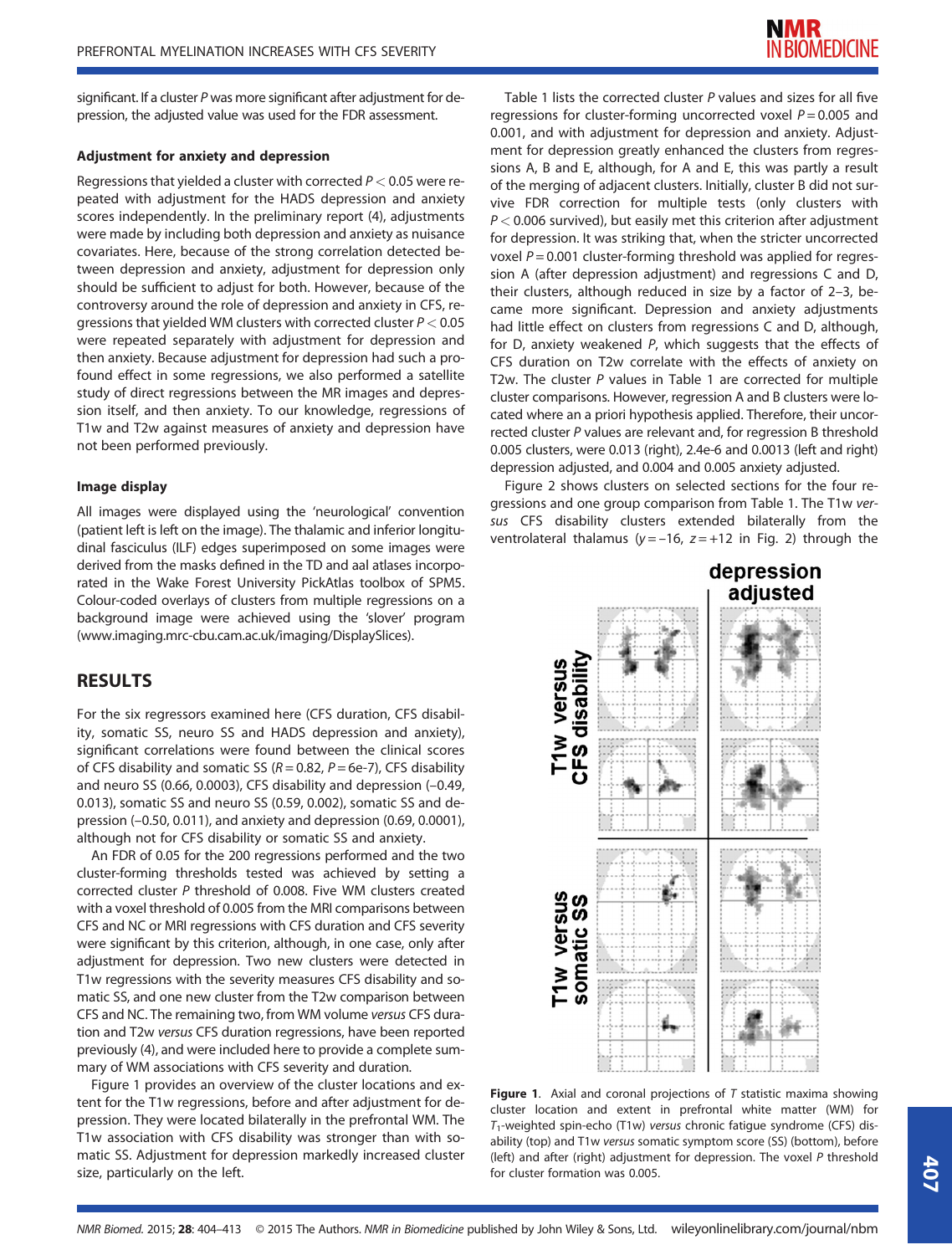**NMR** 

significant. If a cluster P was more significant after adjustment for depression, the adjusted value was used for the FDR assessment.

#### Adjustment for anxiety and depression

Regressions that yielded a cluster with corrected  $P < 0.05$  were repeated with adjustment for the HADS depression and anxiety scores independently. In the preliminary report (4), adjustments were made by including both depression and anxiety as nuisance covariates. Here, because of the strong correlation detected between depression and anxiety, adjustment for depression only should be sufficient to adjust for both. However, because of the controversy around the role of depression and anxiety in CFS, regressions that yielded WM clusters with corrected cluster  $P < 0.05$ were repeated separately with adjustment for depression and then anxiety. Because adjustment for depression had such a profound effect in some regressions, we also performed a satellite study of direct regressions between the MR images and depression itself, and then anxiety. To our knowledge, regressions of T1w and T2w against measures of anxiety and depression have not been performed previously.

#### Image display

All images were displayed using the 'neurological' convention (patient left is left on the image). The thalamic and inferior longitudinal fasciculus (ILF) edges superimposed on some images were derived from the masks defined in the TD and aal atlases incorporated in the Wake Forest University PickAtlas toolbox of SPM5. Colour-coded overlays of clusters from multiple regressions on a background image were achieved using the 'slover' program [\(www.imaging.mrc-cbu.cam.ac.uk/imaging/DisplaySlices](http://www.imaging.mrc-cbu.cam.ac.uk/imaging/DisplaySlices)).

### RESULTS

For the six regressors examined here (CFS duration, CFS disability, somatic SS, neuro SS and HADS depression and anxiety), significant correlations were found between the clinical scores of CFS disability and somatic SS ( $R = 0.82$ ,  $P = 6e-7$ ), CFS disability and neuro SS (0.66, 0.0003), CFS disability and depression (–0.49, 0.013), somatic SS and neuro SS (0.59, 0.002), somatic SS and depression (–0.50, 0.011), and anxiety and depression (0.69, 0.0001), although not for CFS disability or somatic SS and anxiety.

An FDR of 0.05 for the 200 regressions performed and the two cluster-forming thresholds tested was achieved by setting a corrected cluster P threshold of 0.008. Five WM clusters created with a voxel threshold of 0.005 from the MRI comparisons between CFS and NC or MRI regressions with CFS duration and CFS severity were significant by this criterion, although, in one case, only after adjustment for depression. Two new clusters were detected in T1w regressions with the severity measures CFS disability and somatic SS, and one new cluster from the T2w comparison between CFS and NC. The remaining two, from WM volume versus CFS duration and T2w versus CFS duration regressions, have been reported previously (4), and were included here to provide a complete summary of WM associations with CFS severity and duration.

Figure 1 provides an overview of the cluster locations and extent for the T1w regressions, before and after adjustment for depression. They were located bilaterally in the prefrontal WM. The T1w association with CFS disability was stronger than with somatic SS. Adjustment for depression markedly increased cluster size, particularly on the left.

Table 1 lists the corrected cluster  $P$  values and sizes for all five regressions for cluster-forming uncorrected voxel  $P = 0.005$  and 0.001, and with adjustment for depression and anxiety. Adjustment for depression greatly enhanced the clusters from regressions A, B and E, although, for A and E, this was partly a result of the merging of adjacent clusters. Initially, cluster B did not survive FDR correction for multiple tests (only clusters with  $P < 0.006$  survived), but easily met this criterion after adjustment for depression. It was striking that, when the stricter uncorrected voxel  $P = 0.001$  cluster-forming threshold was applied for regression A (after depression adjustment) and regressions C and D, their clusters, although reduced in size by a factor of 2–3, became more significant. Depression and anxiety adjustments had little effect on clusters from regressions C and D, although, for D, anxiety weakened P, which suggests that the effects of CFS duration on T2w correlate with the effects of anxiety on T2w. The cluster P values in Table 1 are corrected for multiple cluster comparisons. However, regression A and B clusters were located where an a priori hypothesis applied. Therefore, their uncorrected cluster P values are relevant and, for regression B threshold 0.005 clusters, were 0.013 (right), 2.4e-6 and 0.0013 (left and right) depression adjusted, and 0.004 and 0.005 anxiety adjusted.

Figure 2 shows clusters on selected sections for the four regressions and one group comparison from Table 1. The T1w versus CFS disability clusters extended bilaterally from the ventrolateral thalamus ( $y = -16$ ,  $z = +12$  in Fig. 2) through the



Figure 1. Axial and coronal projections of  $T$  statistic maxima showing cluster location and extent in prefrontal white matter (WM) for  $T_1$ -weighted spin-echo (T1w) versus chronic fatigue syndrome (CFS) disability (top) and T1w versus somatic symptom score (SS) (bottom), before (left) and after (right) adjustment for depression. The voxel P threshold for cluster formation was 0.005.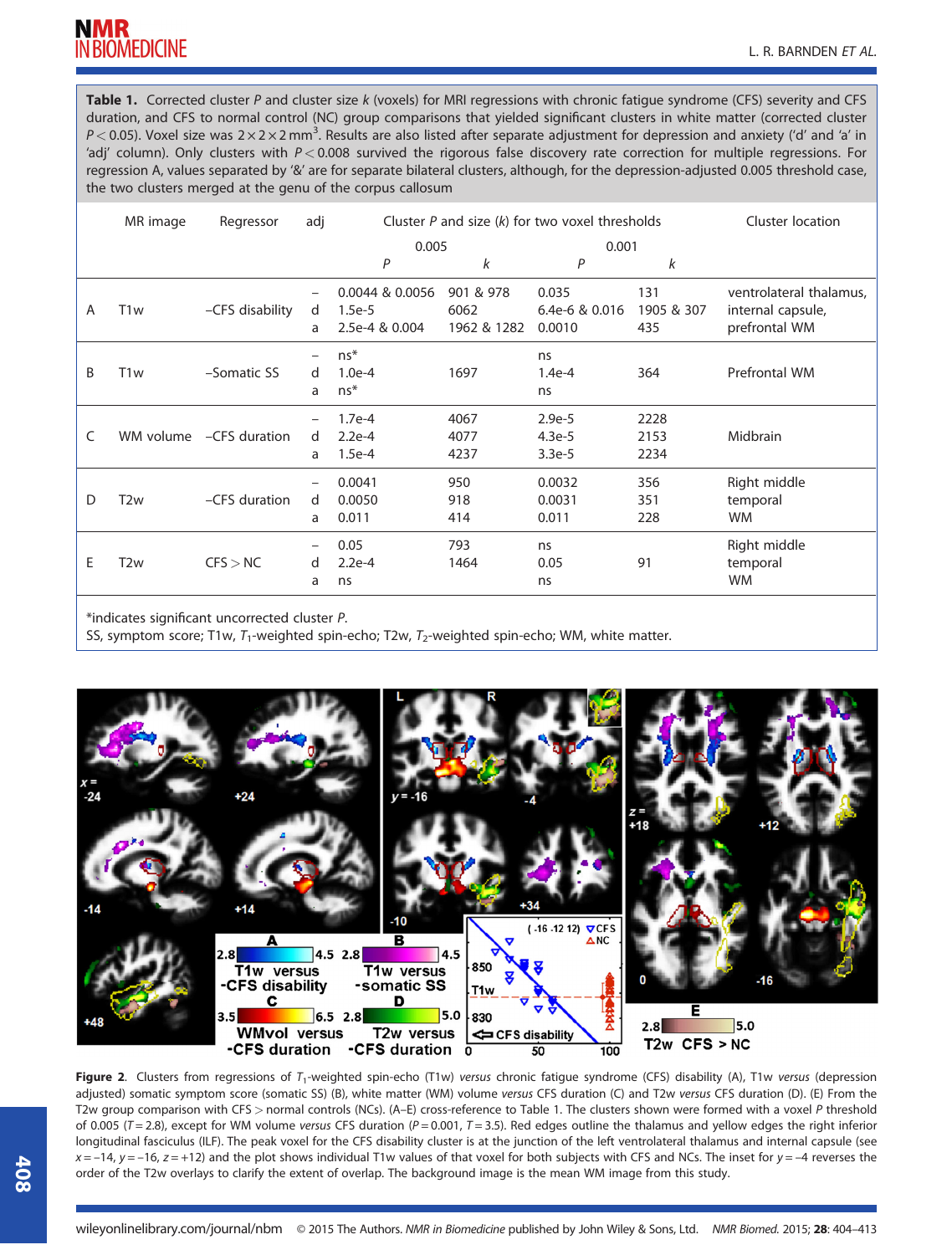Table 1. Corrected cluster P and cluster size  $k$  (voxels) for MRI regressions with chronic fatigue syndrome (CFS) severity and CFS duration, and CFS to normal control (NC) group comparisons that yielded significant clusters in white matter (corrected cluster P < 0.05). Voxel size was 2 × 2 × 2 mm<sup>3</sup>. Results are also listed after separate adjustment for depression and anxiety ('d' and 'a' in 'adj' column). Only clusters with  $P < 0.008$  survived the rigorous false discovery rate correction for multiple regressions. For regression A, values separated by '&' are for separate bilateral clusters, although, for the depression-adjusted 0.005 threshold case, the two clusters merged at the genu of the corpus callosum

|   | MR image        | Regressor       | adj | Cluster $P$ and size $(k)$ for two voxel thresholds |             |                |            | Cluster location        |
|---|-----------------|-----------------|-----|-----------------------------------------------------|-------------|----------------|------------|-------------------------|
|   |                 |                 |     | 0.005                                               |             | 0.001          |            |                         |
|   |                 |                 |     | P                                                   | k           | P              | k          |                         |
|   |                 |                 | ÷   | 0.0044 & 0.0056                                     | 901 & 978   | 0.035          | 131        | ventrolateral thalamus, |
| A | T <sub>1w</sub> | -CFS disability | d   | $1.5e-5$                                            | 6062        | 6.4e-6 & 0.016 | 1905 & 307 | internal capsule,       |
|   |                 |                 | a   | 2.5e-4 & 0.004                                      | 1962 & 1282 | 0.0010         | 435        | prefrontal WM           |
|   |                 |                 | -   | $ns*$                                               |             | ns             |            |                         |
| B | T <sub>1w</sub> | -Somatic SS     | d   | $1.0e-4$                                            | 1697        | $1.4e-4$       | 364        | Prefrontal WM           |
|   |                 |                 | a   | $ns*$                                               |             | ns             |            |                         |
|   |                 |                 | -   | $1.7e-4$                                            | 4067        | $2.9e-5$       | 2228       |                         |
| C | WM volume       | -CFS duration   | d   | $2.2e-4$                                            | 4077        | $4.3e-5$       | 2153       | Midbrain                |
|   |                 |                 | a   | $1.5e-4$                                            | 4237        | $3.3e-5$       | 2234       |                         |
|   |                 |                 | -   | 0.0041                                              | 950         | 0.0032         | 356        | Right middle            |
| D | T <sub>2w</sub> | -CFS duration   | d   | 0.0050                                              | 918         | 0.0031         | 351        | temporal                |
|   |                 |                 | a   | 0.011                                               | 414         | 0.011          | 228        | <b>WM</b>               |
|   |                 |                 | -   | 0.05                                                | 793         | ns             |            | Right middle            |
| E | T <sub>2w</sub> | CFS > NC        | d   | $2.2e-4$                                            | 1464        | 0.05           | 91         | temporal                |
|   |                 |                 | a   | ns                                                  |             | ns             |            | <b>WM</b>               |

\*indicates significant uncorrected cluster P.

SS, symptom score; T1w,  $T_1$ -weighted spin-echo; T2w,  $T_2$ -weighted spin-echo; WM, white matter.



Figure 2. Clusters from regressions of  $T_1$ -weighted spin-echo (T1w) versus chronic fatigue syndrome (CFS) disability (A), T1w versus (depression adjusted) somatic symptom score (somatic SS) (B), white matter (WM) volume versus CFS duration (C) and T2w versus CFS duration (D). (E) From the T2w group comparison with CFS > normal controls (NCs). (A–E) cross-reference to Table 1. The clusters shown were formed with a voxel P threshold of 0.005 ( $T = 2.8$ ), except for WM volume versus CFS duration ( $P = 0.001$ ,  $T = 3.5$ ). Red edges outline the thalamus and yellow edges the right inferior longitudinal fasciculus (ILF). The peak voxel for the CFS disability cluster is at the junction of the left ventrolateral thalamus and internal capsule (see  $x = -14$ ,  $y = -16$ ,  $z = +12$ ) and the plot shows individual T1w values of that voxel for both subjects with CFS and NCs. The inset for  $y = -4$  reverses the order of the T2w overlays to clarify the extent of overlap. The background image is the mean WM image from this study.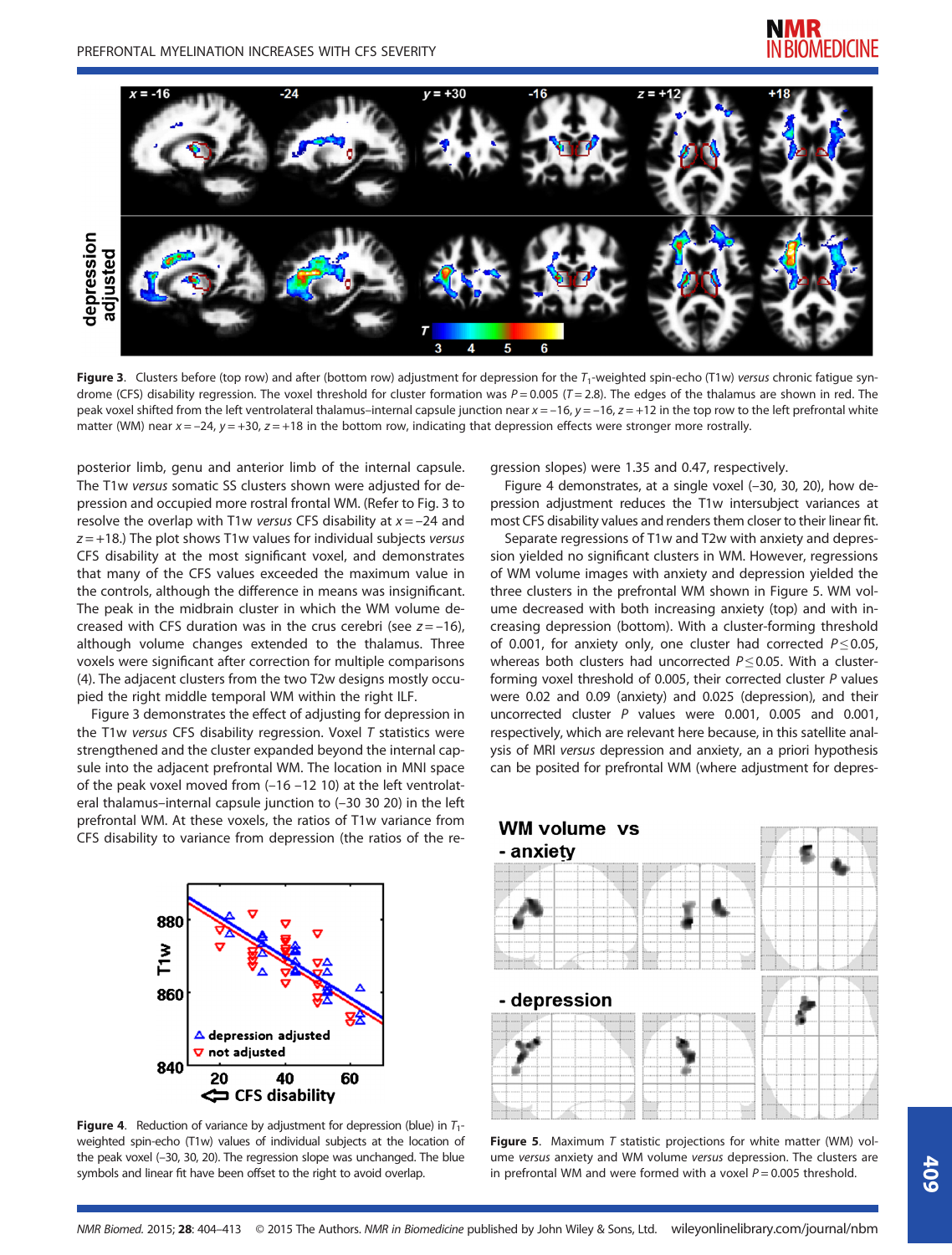

Figure 3. Clusters before (top row) and after (bottom row) adjustment for depression for the  $T_1$ -weighted spin-echo (T1w) versus chronic fatigue syndrome (CFS) disability regression. The voxel threshold for cluster formation was  $P = 0.005$  (T=2.8). The edges of the thalamus are shown in red. The peak voxel shifted from the left ventrolateral thalamus–internal capsule junction near  $x = -16$ ,  $y = -16$ ,  $z = +12$  in the top row to the left prefrontal white matter (WM) near  $x = -24$ ,  $y = +30$ ,  $z = +18$  in the bottom row, indicating that depression effects were stronger more rostrally.

posterior limb, genu and anterior limb of the internal capsule. The T1w versus somatic SS clusters shown were adjusted for depression and occupied more rostral frontal WM. (Refer to Fig. 3 to resolve the overlap with T1w versus CFS disability at  $x = -24$  and  $z = +18$ .) The plot shows T1w values for individual subjects versus CFS disability at the most significant voxel, and demonstrates that many of the CFS values exceeded the maximum value in the controls, although the difference in means was insignificant. The peak in the midbrain cluster in which the WM volume decreased with CFS duration was in the crus cerebri (see  $z = -16$ ), although volume changes extended to the thalamus. Three voxels were significant after correction for multiple comparisons (4). The adjacent clusters from the two T2w designs mostly occupied the right middle temporal WM within the right ILF.

Figure 3 demonstrates the effect of adjusting for depression in the T1w versus CFS disability regression. Voxel  $T$  statistics were strengthened and the cluster expanded beyond the internal capsule into the adjacent prefrontal WM. The location in MNI space of the peak voxel moved from (–16 –12 10) at the left ventrolateral thalamus–internal capsule junction to (–30 30 20) in the left prefrontal WM. At these voxels, the ratios of T1w variance from CFS disability to variance from depression (the ratios of the re-



**Figure 4.** Reduction of variance by adjustment for depression (blue) in  $T_1$ weighted spin-echo (T1w) values of individual subjects at the location of the peak voxel (–30, 30, 20). The regression slope was unchanged. The blue symbols and linear fit have been offset to the right to avoid overlap.

gression slopes) were 1.35 and 0.47, respectively.

Figure 4 demonstrates, at a single voxel (–30, 30, 20), how depression adjustment reduces the T1w intersubject variances at most CFS disability values and renders them closer to their linear fit.

Separate regressions of T1w and T2w with anxiety and depression yielded no significant clusters in WM. However, regressions of WM volume images with anxiety and depression yielded the three clusters in the prefrontal WM shown in Figure 5. WM volume decreased with both increasing anxiety (top) and with increasing depression (bottom). With a cluster-forming threshold of 0.001, for anxiety only, one cluster had corrected  $P \le 0.05$ , whereas both clusters had uncorrected  $P \le 0.05$ . With a clusterforming voxel threshold of 0.005, their corrected cluster P values were 0.02 and 0.09 (anxiety) and 0.025 (depression), and their uncorrected cluster P values were 0.001, 0.005 and 0.001, respectively, which are relevant here because, in this satellite analysis of MRI versus depression and anxiety, an a priori hypothesis can be posited for prefrontal WM (where adjustment for depres-



Figure 5. Maximum  $T$  statistic projections for white matter (WM) volume versus anxiety and WM volume versus depression. The clusters are in prefrontal WM and were formed with a voxel  $P = 0.005$  threshold.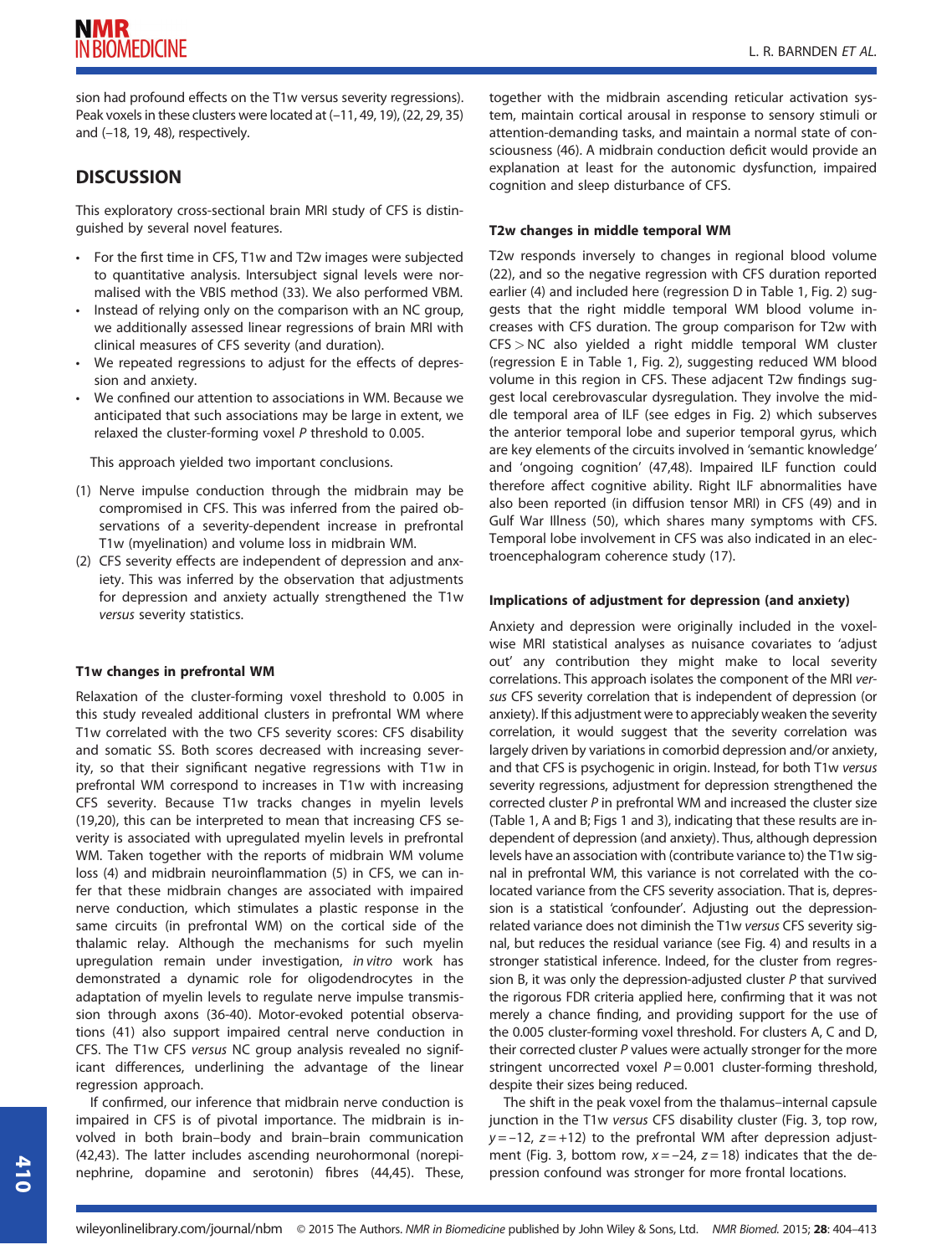sion had profound effects on the T1w versus severity regressions). Peak voxels in these clusters were located at  $(-11, 49, 19)$ ,  $(22, 29, 35)$ and (–18, 19, 48), respectively.

# **DISCUSSION**

This exploratory cross-sectional brain MRI study of CFS is distinguished by several novel features.

- For the first time in CFS, T1w and T2w images were subjected to quantitative analysis. Intersubject signal levels were normalised with the VBIS method (33). We also performed VBM.
- Instead of relying only on the comparison with an NC group, we additionally assessed linear regressions of brain MRI with clinical measures of CFS severity (and duration).
- We repeated regressions to adjust for the effects of depression and anxiety.
- We confined our attention to associations in WM. Because we anticipated that such associations may be large in extent, we relaxed the cluster-forming voxel  $P$  threshold to 0.005.

This approach yielded two important conclusions.

- (1) Nerve impulse conduction through the midbrain may be compromised in CFS. This was inferred from the paired observations of a severity-dependent increase in prefrontal T1w (myelination) and volume loss in midbrain WM.
- (2) CFS severity effects are independent of depression and anxiety. This was inferred by the observation that adjustments for depression and anxiety actually strengthened the T1w versus severity statistics.

#### T1w changes in prefrontal WM

Relaxation of the cluster-forming voxel threshold to 0.005 in this study revealed additional clusters in prefrontal WM where T1w correlated with the two CFS severity scores: CFS disability and somatic SS. Both scores decreased with increasing severity, so that their significant negative regressions with T1w in prefrontal WM correspond to increases in T1w with increasing CFS severity. Because T1w tracks changes in myelin levels (19,20), this can be interpreted to mean that increasing CFS severity is associated with upregulated myelin levels in prefrontal WM. Taken together with the reports of midbrain WM volume loss (4) and midbrain neuroinflammation (5) in CFS, we can infer that these midbrain changes are associated with impaired nerve conduction, which stimulates a plastic response in the same circuits (in prefrontal WM) on the cortical side of the thalamic relay. Although the mechanisms for such myelin upregulation remain under investigation, in vitro work has demonstrated a dynamic role for oligodendrocytes in the adaptation of myelin levels to regulate nerve impulse transmission through axons (36-40). Motor-evoked potential observations (41) also support impaired central nerve conduction in CFS. The T1w CFS versus NC group analysis revealed no significant differences, underlining the advantage of the linear regression approach.

If confirmed, our inference that midbrain nerve conduction is impaired in CFS is of pivotal importance. The midbrain is involved in both brain–body and brain–brain communication (42,43). The latter includes ascending neurohormonal (norepinephrine, dopamine and serotonin) fibres (44,45). These,

together with the midbrain ascending reticular activation system, maintain cortical arousal in response to sensory stimuli or attention-demanding tasks, and maintain a normal state of consciousness (46). A midbrain conduction deficit would provide an explanation at least for the autonomic dysfunction, impaired cognition and sleep disturbance of CFS.

#### T2w changes in middle temporal WM

T2w responds inversely to changes in regional blood volume (22), and so the negative regression with CFS duration reported earlier (4) and included here (regression D in Table 1, Fig. 2) suggests that the right middle temporal WM blood volume increases with CFS duration. The group comparison for T2w with CFS > NC also yielded a right middle temporal WM cluster (regression E in Table 1, Fig. 2), suggesting reduced WM blood volume in this region in CFS. These adjacent T2w findings suggest local cerebrovascular dysregulation. They involve the middle temporal area of ILF (see edges in Fig. 2) which subserves the anterior temporal lobe and superior temporal gyrus, which are key elements of the circuits involved in 'semantic knowledge' and 'ongoing cognition' (47,48). Impaired ILF function could therefore affect cognitive ability. Right ILF abnormalities have also been reported (in diffusion tensor MRI) in CFS (49) and in Gulf War Illness (50), which shares many symptoms with CFS. Temporal lobe involvement in CFS was also indicated in an electroencephalogram coherence study (17).

#### Implications of adjustment for depression (and anxiety)

Anxiety and depression were originally included in the voxelwise MRI statistical analyses as nuisance covariates to 'adjust out' any contribution they might make to local severity correlations. This approach isolates the component of the MRI versus CFS severity correlation that is independent of depression (or anxiety). If this adjustment were to appreciably weaken the severity correlation, it would suggest that the severity correlation was largely driven by variations in comorbid depression and/or anxiety, and that CFS is psychogenic in origin. Instead, for both T1w versus severity regressions, adjustment for depression strengthened the corrected cluster P in prefrontal WM and increased the cluster size (Table 1, A and B; Figs 1 and 3), indicating that these results are independent of depression (and anxiety). Thus, although depression levels have an association with (contribute variance to) the T1w signal in prefrontal WM, this variance is not correlated with the colocated variance from the CFS severity association. That is, depression is a statistical 'confounder'. Adjusting out the depressionrelated variance does not diminish the T1w versus CFS severity signal, but reduces the residual variance (see Fig. 4) and results in a stronger statistical inference. Indeed, for the cluster from regression B, it was only the depression-adjusted cluster P that survived the rigorous FDR criteria applied here, confirming that it was not merely a chance finding, and providing support for the use of the 0.005 cluster-forming voxel threshold. For clusters A, C and D, their corrected cluster P values were actually stronger for the more stringent uncorrected voxel  $P = 0.001$  cluster-forming threshold, despite their sizes being reduced.

The shift in the peak voxel from the thalamus–internal capsule junction in the T1w versus CFS disability cluster (Fig. 3, top row,  $y = -12$ ,  $z = +12$ ) to the prefrontal WM after depression adjustment (Fig. 3, bottom row,  $x = -24$ ,  $z = 18$ ) indicates that the depression confound was stronger for more frontal locations.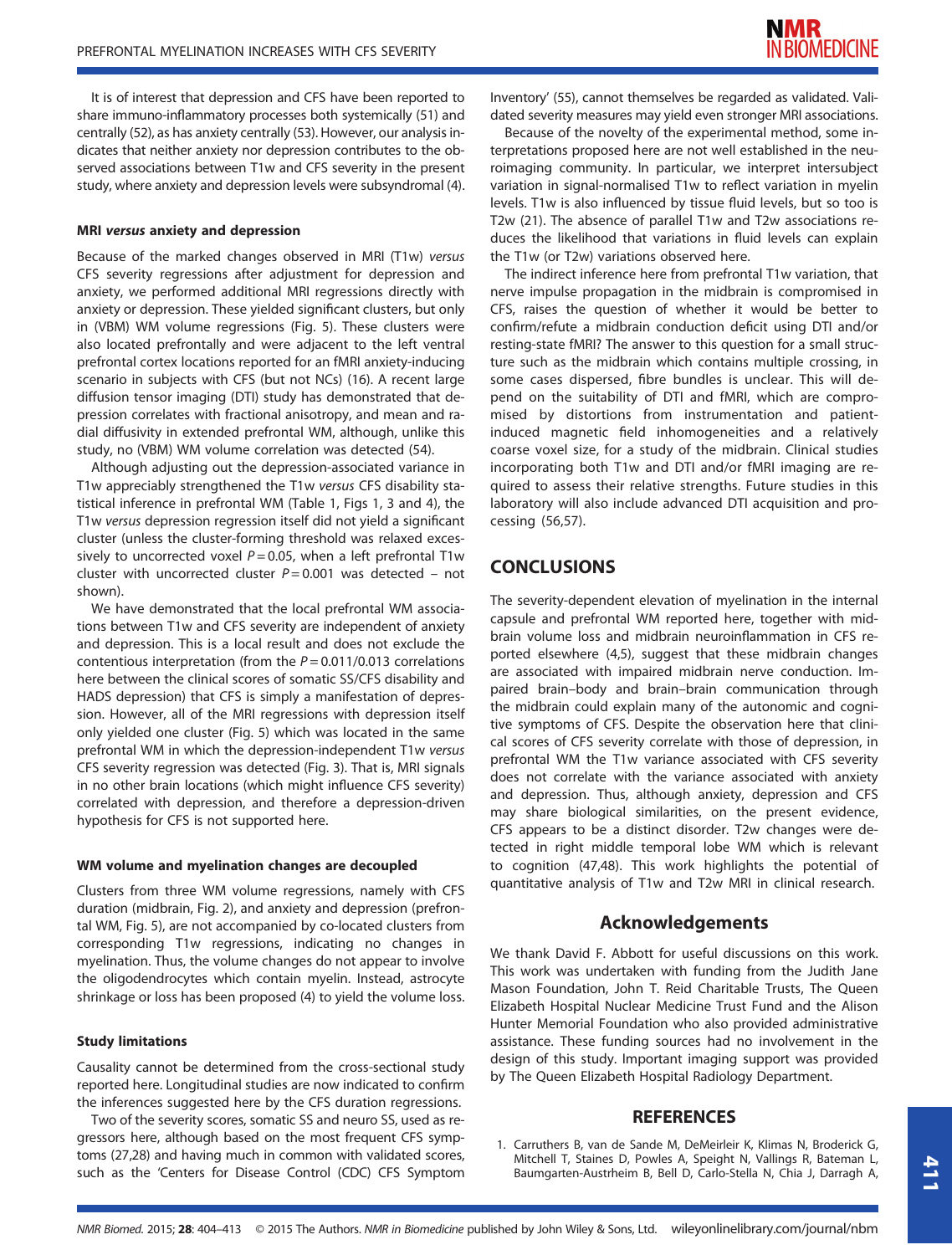It is of interest that depression and CFS have been reported to share immuno-inflammatory processes both systemically (51) and centrally (52), as has anxiety centrally (53). However, our analysis indicates that neither anxiety nor depression contributes to the observed associations between T1w and CFS severity in the present study, where anxiety and depression levels were subsyndromal (4).

#### MRI versus anxiety and depression

Because of the marked changes observed in MRI (T1w) versus CFS severity regressions after adjustment for depression and anxiety, we performed additional MRI regressions directly with anxiety or depression. These yielded significant clusters, but only in (VBM) WM volume regressions (Fig. 5). These clusters were also located prefrontally and were adjacent to the left ventral prefrontal cortex locations reported for an fMRI anxiety-inducing scenario in subjects with CFS (but not NCs) (16). A recent large diffusion tensor imaging (DTI) study has demonstrated that depression correlates with fractional anisotropy, and mean and radial diffusivity in extended prefrontal WM, although, unlike this study, no (VBM) WM volume correlation was detected (54).

Although adjusting out the depression-associated variance in T1w appreciably strengthened the T1w versus CFS disability statistical inference in prefrontal WM (Table 1, Figs 1, 3 and 4), the T1w versus depression regression itself did not yield a significant cluster (unless the cluster-forming threshold was relaxed excessively to uncorrected voxel  $P = 0.05$ , when a left prefrontal T1w cluster with uncorrected cluster  $P = 0.001$  was detected – not shown).

We have demonstrated that the local prefrontal WM associations between T1w and CFS severity are independent of anxiety and depression. This is a local result and does not exclude the contentious interpretation (from the  $P = 0.011/0.013$  correlations here between the clinical scores of somatic SS/CFS disability and HADS depression) that CFS is simply a manifestation of depression. However, all of the MRI regressions with depression itself only yielded one cluster (Fig. 5) which was located in the same prefrontal WM in which the depression-independent T1w versus CFS severity regression was detected (Fig. 3). That is, MRI signals in no other brain locations (which might influence CFS severity) correlated with depression, and therefore a depression-driven hypothesis for CFS is not supported here.

#### WM volume and myelination changes are decoupled

Clusters from three WM volume regressions, namely with CFS duration (midbrain, Fig. 2), and anxiety and depression (prefrontal WM, Fig. 5), are not accompanied by co-located clusters from corresponding T1w regressions, indicating no changes in myelination. Thus, the volume changes do not appear to involve the oligodendrocytes which contain myelin. Instead, astrocyte shrinkage or loss has been proposed (4) to yield the volume loss.

#### Study limitations

Causality cannot be determined from the cross-sectional study reported here. Longitudinal studies are now indicated to confirm the inferences suggested here by the CFS duration regressions.

Two of the severity scores, somatic SS and neuro SS, used as regressors here, although based on the most frequent CFS symptoms (27,28) and having much in common with validated scores, such as the 'Centers for Disease Control (CDC) CFS Symptom

Inventory' (55), cannot themselves be regarded as validated. Validated severity measures may yield even stronger MRI associations.

Because of the novelty of the experimental method, some interpretations proposed here are not well established in the neuroimaging community. In particular, we interpret intersubject variation in signal-normalised T1w to reflect variation in myelin levels. T1w is also influenced by tissue fluid levels, but so too is T2w (21). The absence of parallel T1w and T2w associations reduces the likelihood that variations in fluid levels can explain the T1w (or T2w) variations observed here.

The indirect inference here from prefrontal T1w variation, that nerve impulse propagation in the midbrain is compromised in CFS, raises the question of whether it would be better to confirm/refute a midbrain conduction deficit using DTI and/or resting-state fMRI? The answer to this question for a small structure such as the midbrain which contains multiple crossing, in some cases dispersed, fibre bundles is unclear. This will depend on the suitability of DTI and fMRI, which are compromised by distortions from instrumentation and patientinduced magnetic field inhomogeneities and a relatively coarse voxel size, for a study of the midbrain. Clinical studies incorporating both T1w and DTI and/or fMRI imaging are required to assess their relative strengths. Future studies in this laboratory will also include advanced DTI acquisition and processing (56,57).

# **CONCLUSIONS**

The severity-dependent elevation of myelination in the internal capsule and prefrontal WM reported here, together with midbrain volume loss and midbrain neuroinflammation in CFS reported elsewhere (4,5), suggest that these midbrain changes are associated with impaired midbrain nerve conduction. Impaired brain–body and brain–brain communication through the midbrain could explain many of the autonomic and cognitive symptoms of CFS. Despite the observation here that clinical scores of CFS severity correlate with those of depression, in prefrontal WM the T1w variance associated with CFS severity does not correlate with the variance associated with anxiety and depression. Thus, although anxiety, depression and CFS may share biological similarities, on the present evidence, CFS appears to be a distinct disorder. T2w changes were detected in right middle temporal lobe WM which is relevant to cognition (47,48). This work highlights the potential of quantitative analysis of T1w and T2w MRI in clinical research.

### Acknowledgements

We thank David F. Abbott for useful discussions on this work. This work was undertaken with funding from the Judith Jane Mason Foundation, John T. Reid Charitable Trusts, The Queen Elizabeth Hospital Nuclear Medicine Trust Fund and the Alison Hunter Memorial Foundation who also provided administrative assistance. These funding sources had no involvement in the design of this study. Important imaging support was provided by The Queen Elizabeth Hospital Radiology Department.

## **REFERENCES**

1. Carruthers B, van de Sande M, DeMeirleir K, Klimas N, Broderick G, Mitchell T, Staines D, Powles A, Speight N, Vallings R, Bateman L, Baumgarten-Austrheim B, Bell D, Carlo-Stella N, Chia J, Darragh A,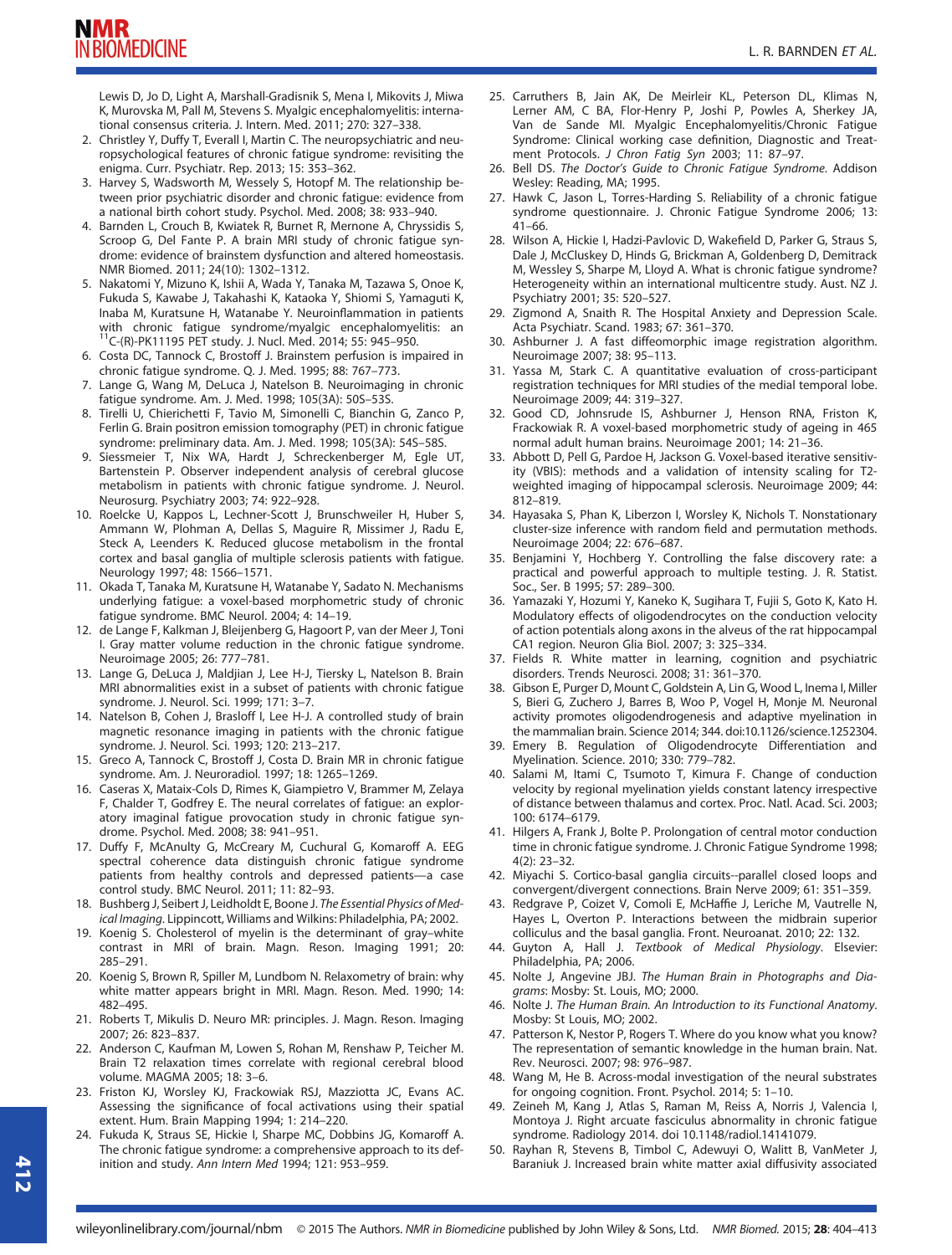Lewis D, Jo D, Light A, Marshall-Gradisnik S, Mena I, Mikovits J, Miwa K, Murovska M, Pall M, Stevens S. Myalgic encephalomyelitis: international consensus criteria. J. Intern. Med. 2011; 270: 327–338.

- 2. Christley Y, Duffy T, Everall I, Martin C. The neuropsychiatric and neuropsychological features of chronic fatigue syndrome: revisiting the enigma. Curr. Psychiatr. Rep. 2013; 15: 353–362.
- 3. Harvey S, Wadsworth M, Wessely S, Hotopf M. The relationship between prior psychiatric disorder and chronic fatigue: evidence from a national birth cohort study. Psychol. Med. 2008; 38: 933–940.
- 4. Barnden L, Crouch B, Kwiatek R, Burnet R, Mernone A, Chryssidis S, Scroop G, Del Fante P. A brain MRI study of chronic fatigue syndrome: evidence of brainstem dysfunction and altered homeostasis. NMR Biomed. 2011; 24(10): 1302–1312.
- 5. Nakatomi Y, Mizuno K, Ishii A, Wada Y, Tanaka M, Tazawa S, Onoe K, Fukuda S, Kawabe J, Takahashi K, Kataoka Y, Shiomi S, Yamaguti K, Inaba M, Kuratsune H, Watanabe Y. Neuroinflammation in patients with chronic fatigue syndrome/myalgic encephalomyelitis: an C-(R)-PK11195 PET study. J. Nucl. Med. 2014; 55: 945-950.
- 6. Costa DC, Tannock C, Brostoff J. Brainstem perfusion is impaired in chronic fatigue syndrome. Q. J. Med. 1995; 88: 767–773.
- 7. Lange G, Wang M, DeLuca J, Natelson B. Neuroimaging in chronic fatigue syndrome. Am. J. Med. 1998; 105(3A): 50S–53S.
- 8. Tirelli U, Chierichetti F, Tavio M, Simonelli C, Bianchin G, Zanco P, Ferlin G. Brain positron emission tomography (PET) in chronic fatigue syndrome: preliminary data. Am. J. Med. 1998; 105(3A): 54S–58S.
- 9. Siessmeier T, Nix WA, Hardt J, Schreckenberger M, Egle UT, Bartenstein P. Observer independent analysis of cerebral glucose metabolism in patients with chronic fatigue syndrome. J. Neurol. Neurosurg. Psychiatry 2003; 74: 922–928.
- 10. Roelcke U, Kappos L, Lechner-Scott J, Brunschweiler H, Huber S, Ammann W, Plohman A, Dellas S, Maguire R, Missimer J, Radu E, Steck A, Leenders K. Reduced glucose metabolism in the frontal cortex and basal ganglia of multiple sclerosis patients with fatigue. Neurology 1997; 48: 1566–1571.
- 11. Okada T, Tanaka M, Kuratsune H, Watanabe Y, Sadato N. Mechanisms underlying fatigue: a voxel-based morphometric study of chronic fatigue syndrome. BMC Neurol. 2004; 4: 14–19.
- 12. de Lange F, Kalkman J, Bleijenberg G, Hagoort P, van der Meer J, Toni I. Gray matter volume reduction in the chronic fatigue syndrome. Neuroimage 2005; 26: 777–781.
- 13. Lange G, DeLuca J, Maldjian J, Lee H-J, Tiersky L, Natelson B. Brain MRI abnormalities exist in a subset of patients with chronic fatigue syndrome. J. Neurol. Sci. 1999; 171: 3–7.
- 14. Natelson B, Cohen J, Brasloff I, Lee H-J. A controlled study of brain magnetic resonance imaging in patients with the chronic fatigue syndrome. J. Neurol. Sci. 1993; 120: 213–217.
- 15. Greco A, Tannock C, Brostoff J, Costa D. Brain MR in chronic fatigue syndrome. Am. J. Neuroradiol. 1997; 18: 1265–1269.
- 16. Caseras X, Mataix-Cols D, Rimes K, Giampietro V, Brammer M, Zelaya F, Chalder T, Godfrey E. The neural correlates of fatigue: an exploratory imaginal fatigue provocation study in chronic fatigue syndrome. Psychol. Med. 2008; 38: 941–951.
- 17. Duffy F, McAnulty G, McCreary M, Cuchural G, Komaroff A. EEG spectral coherence data distinguish chronic fatigue syndrome patients from healthy controls and depressed patients—a case control study. BMC Neurol. 2011; 11: 82–93.
- 18. Bushberg J, Seibert J, Leidholdt E, Boone J. The Essential Physics of Medical Imaging. Lippincott, Williams and Wilkins: Philadelphia, PA; 2002.
- 19. Koenig S. Cholesterol of myelin is the determinant of gray–white contrast in MRI of brain. Magn. Reson. Imaging 1991; 20: 285–291.
- 20. Koenig S, Brown R, Spiller M, Lundbom N. Relaxometry of brain: why white matter appears bright in MRI. Magn. Reson. Med. 1990; 14: 482–495.
- 21. Roberts T, Mikulis D. Neuro MR: principles. J. Magn. Reson. Imaging 2007; 26: 823–837.
- 22. Anderson C, Kaufman M, Lowen S, Rohan M, Renshaw P, Teicher M. Brain T2 relaxation times correlate with regional cerebral blood volume. MAGMA 2005; 18: 3–6.
- 23. Friston KJ, Worsley KJ, Frackowiak RSJ, Mazziotta JC, Evans AC. Assessing the significance of focal activations using their spatial extent. Hum. Brain Mapping 1994; 1: 214–220.
- 24. Fukuda K, Straus SE, Hickie I, Sharpe MC, Dobbins JG, Komaroff A. The chronic fatigue syndrome: a comprehensive approach to its definition and study. Ann Intern Med 1994; 121: 953–959.
- 25. Carruthers B, Jain AK, De Meirleir KL, Peterson DL, Klimas N, Lerner AM, C BA, Flor-Henry P, Joshi P, Powles A, Sherkey JA, Van de Sande MI. Myalgic Encephalomyelitis/Chronic Fatigue Syndrome: Clinical working case definition, Diagnostic and Treatment Protocols. J Chron Fatig Syn 2003; 11: 87–97.
- 26. Bell DS. The Doctor's Guide to Chronic Fatigue Syndrome. Addison Wesley: Reading, MA; 1995.
- 27. Hawk C, Jason L, Torres-Harding S. Reliability of a chronic fatigue syndrome questionnaire. J. Chronic Fatigue Syndrome 2006; 13: 41–66.
- 28. Wilson A, Hickie I, Hadzi-Pavlovic D, Wakefield D, Parker G, Straus S, Dale J, McCluskey D, Hinds G, Brickman A, Goldenberg D, Demitrack M, Wessley S, Sharpe M, Lloyd A. What is chronic fatigue syndrome? Heterogeneity within an international multicentre study. Aust. NZ J. Psychiatry 2001; 35: 520–527.
- 29. Zigmond A, Snaith R. The Hospital Anxiety and Depression Scale. Acta Psychiatr. Scand. 1983; 67: 361–370.
- 30. Ashburner J. A fast diffeomorphic image registration algorithm. Neuroimage 2007; 38: 95–113.
- 31. Yassa M, Stark C. A quantitative evaluation of cross-participant registration techniques for MRI studies of the medial temporal lobe. Neuroimage 2009; 44: 319–327.
- 32. Good CD, Johnsrude IS, Ashburner J, Henson RNA, Friston K, Frackowiak R. A voxel-based morphometric study of ageing in 465 normal adult human brains. Neuroimage 2001; 14: 21–36.
- 33. Abbott D, Pell G, Pardoe H, Jackson G. Voxel-based iterative sensitivity (VBIS): methods and a validation of intensity scaling for T2 weighted imaging of hippocampal sclerosis. Neuroimage 2009; 44: 812–819.
- 34. Hayasaka S, Phan K, Liberzon I, Worsley K, Nichols T. Nonstationary cluster-size inference with random field and permutation methods. Neuroimage 2004; 22: 676–687.
- 35. Benjamini Y, Hochberg Y. Controlling the false discovery rate: a practical and powerful approach to multiple testing. J. R. Statist. Soc., Ser. B 1995; 57: 289–300.
- 36. Yamazaki Y, Hozumi Y, Kaneko K, Sugihara T, Fujii S, Goto K, Kato H. Modulatory effects of oligodendrocytes on the conduction velocity of action potentials along axons in the alveus of the rat hippocampal CA1 region. Neuron Glia Biol. 2007; 3: 325–334.
- 37. Fields R. White matter in learning, cognition and psychiatric disorders. Trends Neurosci. 2008; 31: 361–370.
- 38. Gibson E, Purger D, Mount C, Goldstein A, Lin G, Wood L, Inema I, Miller S, Bieri G, Zuchero J, Barres B, Woo P, Vogel H, Monje M. Neuronal activity promotes oligodendrogenesis and adaptive myelination in the mammalian brain. Science 2014; 344. doi:10.1126/science.1252304.
- 39. Emery B. Regulation of Oligodendrocyte Differentiation and Myelination. Science. 2010; 330: 779–782.
- 40. Salami M, Itami C, Tsumoto T, Kimura F. Change of conduction velocity by regional myelination yields constant latency irrespective of distance between thalamus and cortex. Proc. Natl. Acad. Sci. 2003; 100: 6174–6179.
- 41. Hilgers A, Frank J, Bolte P. Prolongation of central motor conduction time in chronic fatigue syndrome. J. Chronic Fatigue Syndrome 1998; 4(2): 23–32.
- 42. Miyachi S. Cortico-basal ganglia circuits--parallel closed loops and convergent/divergent connections. Brain Nerve 2009; 61: 351–359.
- 43. Redgrave P, Coizet V, Comoli E, McHaffie J, Leriche M, Vautrelle N, Hayes L, Overton P. Interactions between the midbrain superior colliculus and the basal ganglia. Front. Neuroanat. 2010; 22: 132.
- 44. Guyton A, Hall J. Textbook of Medical Physiology. Elsevier: Philadelphia, PA; 2006.
- 45. Nolte J, Angevine JBJ. The Human Brain in Photographs and Diagrams: Mosby: St. Louis, MO; 2000.
- 46. Nolte J. The Human Brain. An Introduction to its Functional Anatomy. Mosby: St Louis, MO; 2002.
- 47. Patterson K, Nestor P, Rogers T. Where do you know what you know? The representation of semantic knowledge in the human brain. Nat. Rev. Neurosci. 2007; 98: 976–987.
- 48. Wang M, He B. Across-modal investigation of the neural substrates for ongoing cognition. Front. Psychol. 2014; 5: 1–10.
- 49. Zeineh M, Kang J, Atlas S, Raman M, Reiss A, Norris J, Valencia I, Montoya J. Right arcuate fasciculus abnormality in chronic fatigue syndrome. Radiology 2014. doi 10.1148/radiol.14141079.
- 50. Rayhan R, Stevens B, Timbol C, Adewuyi O, Walitt B, VanMeter J, Baraniuk J. Increased brain white matter axial diffusivity associated